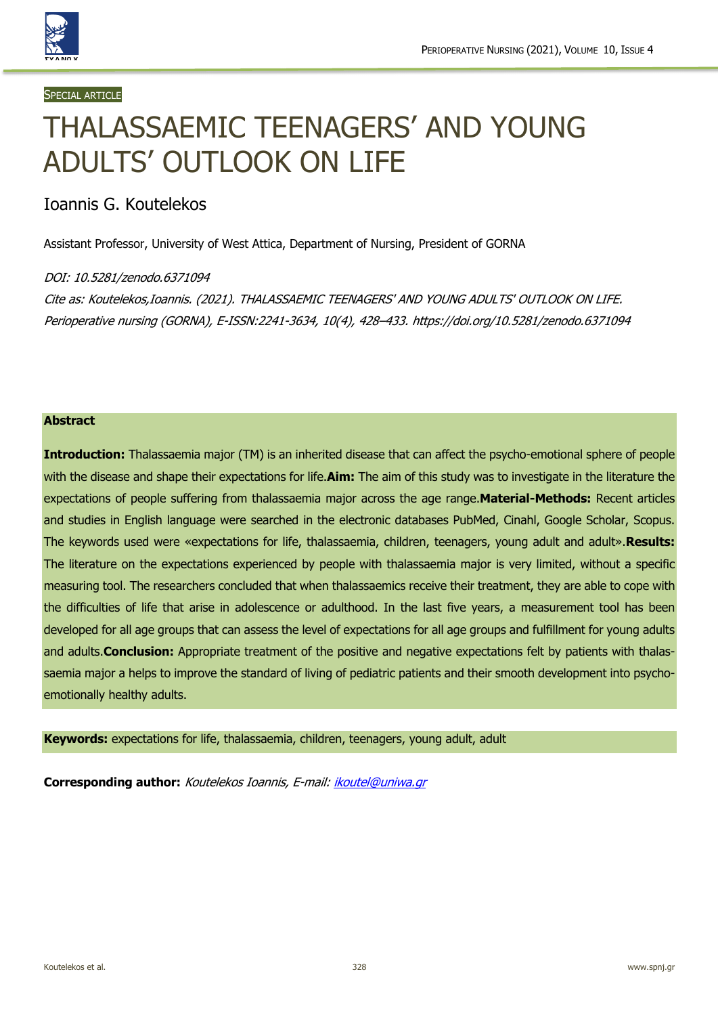

#### **SPECIAL ARTICLE**

# THALASSAEMIC TEENAGERS' AND YOUNG ADULTS' OUTLOOK ON LIFE

# Ioannis G. Koutelekos

Assistant Professor, University of West Attica, Department of Nursing, President of GORNA

#### DOI: 10.5281/zenodo.6371094

Cite as: Koutelekos,Ioannis. (2021). THALASSAEMIC TEENAGERS' AND YOUNG ADULTS' OUTLOOK ON LIFE. Perioperative nursing (GORNA), E-ISSN:2241-3634, 10(4), 428–433. https://doi.org/10.5281/zenodo.6371094

#### **Abstract**

**Introduction:** Τhalassaemia major (TM) is an inherited disease that can affect the psycho-emotional sphere of people with the disease and shape their expectations for life.**Aim:** The aim of this study was to investigate in the literature the expectations of people suffering from thalassaemia major across the age range.**Material-Methods:** Recent articles and studies in English language were searched in the electronic databases PubMed, Cinahl, Google Scholar, Scopus. The keywords used were «expectations for life, thalassaemia, children, teenagers, young adult and adult».**Results:** The literature on the expectations experienced by people with thalassaemia major is very limited, without a specific measuring tool. The researchers concluded that when thalassaemics receive their treatment, they are able to cope with the difficulties of life that arise in adolescence or adulthood. In the last five years, a measurement tool has been developed for all age groups that can assess the level of expectations for all age groups and fulfillment for young adults and adults.**Conclusion:** Appropriate treatment of the positive and negative expectations felt by patients with thalassaemia major a helps to improve the standard of living of pediatric patients and their smooth development into psychoemotionally healthy adults.

**Keywords:** expectations for life, thalassaemia, children, teenagers, young adult, adult

**Corresponding author:** Koutelekos Ioannis, E-mail: ikoutel@uniwa.gr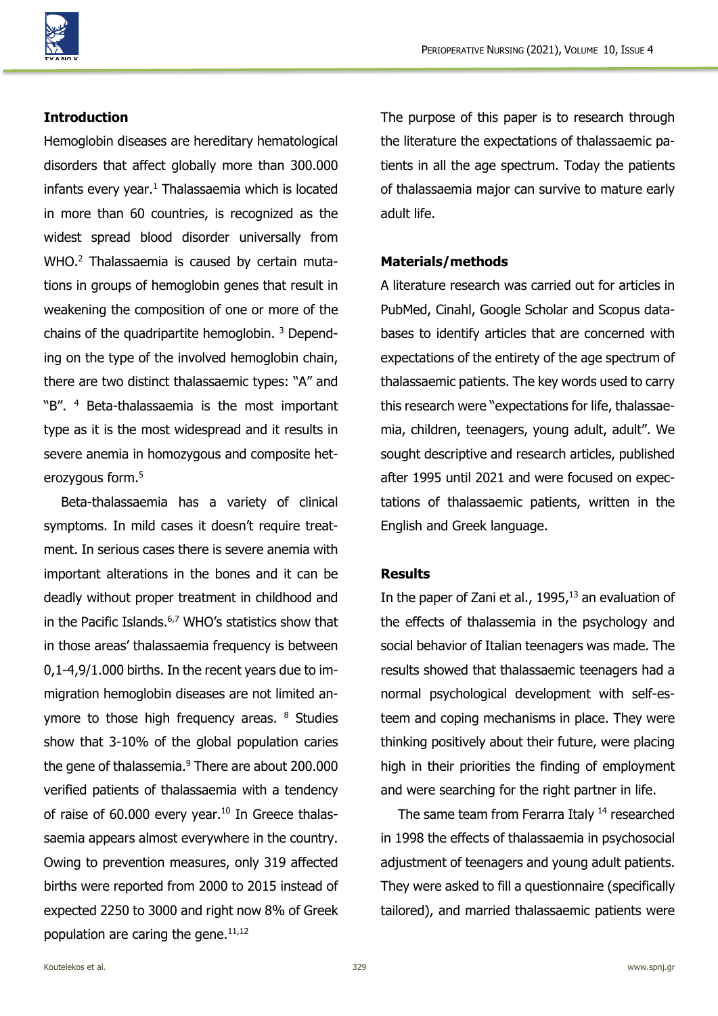

## **Introduction**

Hemoglobin diseases are hereditary hematological disorders that affect globally more than 300.000 infants every year. $1$  Thalassaemia which is located in more than 60 countries, is recognized as the widest spread blood disorder universally from WHO.<sup>2</sup> Thalassaemia is caused by certain mutations in groups of hemoglobin genes that result in weakening the composition of one or more of the chains of the quadripartite hemoglobin. 3 Depending on the type of the involved hemoglobin chain, there are two distinct thalassaemic types: "A" and "B". 4 Beta-thalassaemia is the most important type as it is the most widespread and it results in severe anemia in homozygous and composite heterozygous form.<sup>5</sup>

Beta-thalassaemia has a variety of clinical symptoms. In mild cases it doesn't require treatment. In serious cases there is severe anemia with important alterations in the bones and it can be deadly without proper treatment in childhood and in the Pacific Islands. 6,7 WHO's statistics show that in those areas' thalassaemia frequency is between 0,1-4,9/1.000 births. In the recent years due to immigration hemoglobin diseases are not limited anymore to those high frequency areas. <sup>8</sup> Studies show that 3-10% of the global population caries the gene of thalassemia. $9$  There are about 200.000 verified patients of thalassaemia with a tendency of raise of  $60.000$  every year.<sup>10</sup> In Greece thalassaemia appears almost everywhere in the country. Owing to prevention measures, only 319 affected births were reported from 2000 to 2015 instead of expected 2250 to 3000 and right now 8% of Greek population are caring the gene. $11,12$ 

The purpose of this paper is to research through the literature the expectations of thalassaemic patients in all the age spectrum. Today the patients of thalassaemia major can survive to mature early adult life.

### **Materials/methods**

A literature research was carried out for articles in PubMed, Cinahl, Google Scholar and Scopus databases to identify articles that are concerned with expectations of the entirety of the age spectrum of thalassaemic patients. The key words used to carry this research were "expectations for life, thalassaemia, children, teenagers, young adult, adult". We sought descriptive and research articles, published after 1995 until 2021 and were focused on expectations of thalassaemic patients, written in the English and Greek language.

## **Results**

In the paper of Zani et al.,  $1995<sub>i</sub>^{13}$  an evaluation of the effects of thalassemia in the psychology and social behavior of Italian teenagers was made. The results showed that thalassaemic teenagers had a normal psychological development with self-esteem and coping mechanisms in place. They were thinking positively about their future, were placing high in their priorities the finding of employment and were searching for the right partner in life.

The same team from Ferarra Italy <sup>14</sup> researched in 1998 the effects of thalassaemia in psychosocial adjustment of teenagers and young adult patients. They were asked to fill a questionnaire (specifically tailored), and married thalassaemic patients were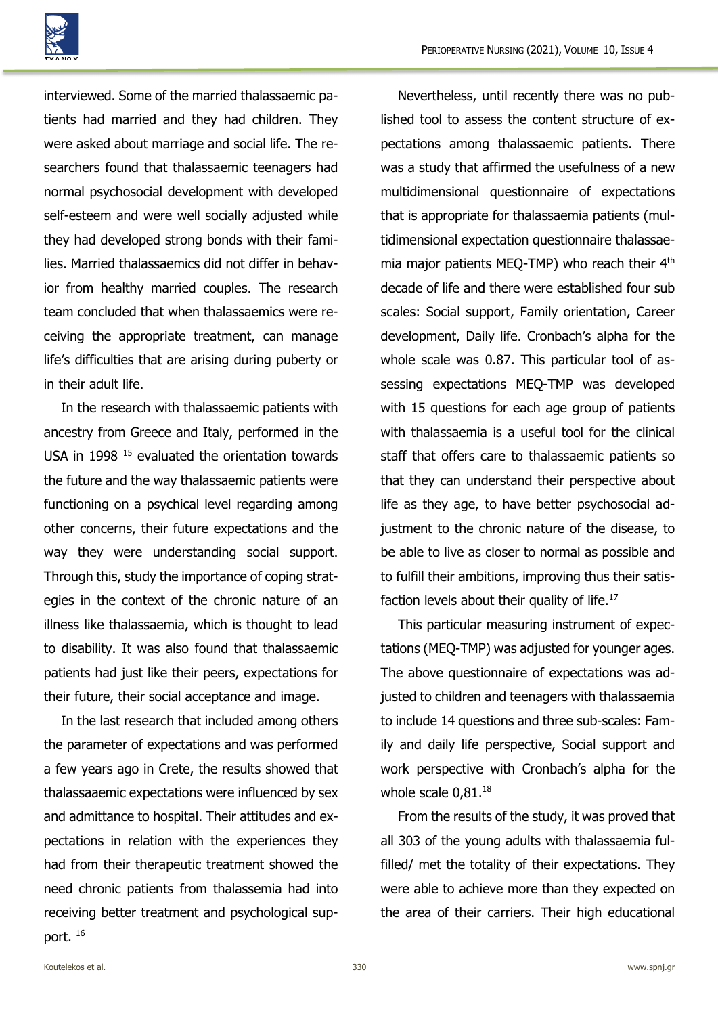

interviewed. Some of the married thalassaemic patients had married and they had children. They were asked about marriage and social life. The researchers found that thalassaemic teenagers had normal psychosocial development with developed self-esteem and were well socially adjusted while they had developed strong bonds with their families. Married thalassaemics did not differ in behavior from healthy married couples. The research team concluded that when thalassaemics were receiving the appropriate treatment, can manage life's difficulties that are arising during puberty or in their adult life.

In the research with thalassaemic patients with ancestry from Greece and Italy, performed in the USA in 1998<sup>15</sup> evaluated the orientation towards the future and the way thalassaemic patients were functioning on a psychical level regarding among other concerns, their future expectations and the way they were understanding social support. Through this, study the importance of coping strategies in the context of the chronic nature of an illness like thalassaemia, which is thought to lead to disability. It was also found that thalassaemic patients had just like their peers, expectations for their future, their social acceptance and image.

In the last research that included among others the parameter of expectations and was performed a few years ago in Crete, the results showed that thalassaaemic expectations were influenced by sex and admittance to hospital. Their attitudes and expectations in relation with the experiences they had from their therapeutic treatment showed the need chronic patients from thalassemia had into receiving better treatment and psychological support. 16

Nevertheless, until recently there was no published tool to assess the content structure of expectations among thalassaemic patients. There was a study that affirmed the usefulness of a new multidimensional questionnaire of expectations that is appropriate for thalassaemia patients (multidimensional expectation questionnaire thalassaemia major patients MEO-TMP) who reach their 4<sup>th</sup> decade of life and there were established four sub scales: Social support, Family orientation, Career development, Daily life. Cronbach's alpha for the whole scale was 0.87. This particular tool of assessing expectations MEQ-TMP was developed with 15 questions for each age group of patients with thalassaemia is a useful tool for the clinical staff that offers care to thalassaemic patients so that they can understand their perspective about life as they age, to have better psychosocial adjustment to the chronic nature of the disease, to be able to live as closer to normal as possible and to fulfill their ambitions, improving thus their satisfaction levels about their quality of life.<sup>17</sup>

This particular measuring instrument of expectations (MEQ-TMP) was adjusted for younger ages. The above questionnaire of expectations was adjusted to children and teenagers with thalassaemia to include 14 questions and three sub-scales: Family and daily life perspective, Social support and work perspective with Cronbach's alpha for the whole scale 0.81.<sup>18</sup>

From the results of the study, it was proved that all 303 of the young adults with thalassaemia fulfilled/ met the totality of their expectations. They were able to achieve more than they expected on the area of their carriers. Their high educational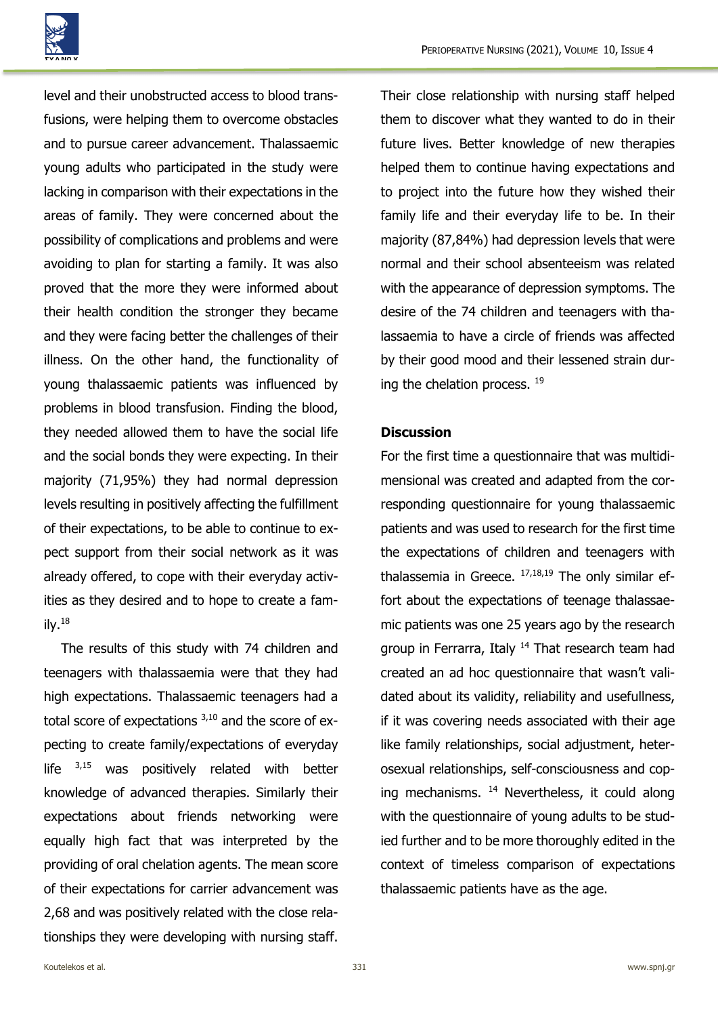

level and their unobstructed access to blood transfusions, were helping them to overcome obstacles and to pursue career advancement. Thalassaemic young adults who participated in the study were lacking in comparison with their expectations in the areas of family. They were concerned about the possibility of complications and problems and were avoiding to plan for starting a family. It was also proved that the more they were informed about their health condition the stronger they became and they were facing better the challenges of their illness. On the other hand, the functionality of young thalassaemic patients was influenced by problems in blood transfusion. Finding the blood, they needed allowed them to have the social life and the social bonds they were expecting. In their majority (71,95%) they had normal depression levels resulting in positively affecting the fulfillment of their expectations, to be able to continue to expect support from their social network as it was already offered, to cope with their everyday activities as they desired and to hope to create a family. $18$ 

The results of this study with 74 children and teenagers with thalassaemia were that they had high expectations. Thalassaemic teenagers had a total score of expectations  $3,10$  and the score of expecting to create family/expectations of everyday life  $3,15$  was positively related with better knowledge of advanced therapies. Similarly their expectations about friends networking were equally high fact that was interpreted by the providing of oral chelation agents. The mean score of their expectations for carrier advancement was 2,68 and was positively related with the close relationships they were developing with nursing staff.

Their close relationship with nursing staff helped them to discover what they wanted to do in their future lives. Better knowledge of new therapies helped them to continue having expectations and to project into the future how they wished their family life and their everyday life to be. In their majority (87,84%) had depression levels that were normal and their school absenteeism was related with the appearance of depression symptoms. The desire of the 74 children and teenagers with thalassaemia to have a circle of friends was affected by their good mood and their lessened strain during the chelation process. <sup>19</sup>

#### **Discussion**

For the first time a questionnaire that was multidimensional was created and adapted from the corresponding questionnaire for young thalassaemic patients and was used to research for the first time the expectations of children and teenagers with thalassemia in Greece.  $17,18,19$  The only similar effort about the expectations of teenage thalassaemic patients was one 25 years ago by the research group in Ferrarra, Italy <sup>14</sup> That research team had created an ad hoc questionnaire that wasn't validated about its validity, reliability and usefullness, if it was covering needs associated with their age like family relationships, social adjustment, heterosexual relationships, self-consciousness and coping mechanisms. <sup>14</sup> Nevertheless, it could along with the questionnaire of young adults to be studied further and to be more thoroughly edited in the context of timeless comparison of expectations thalassaemic patients have as the age.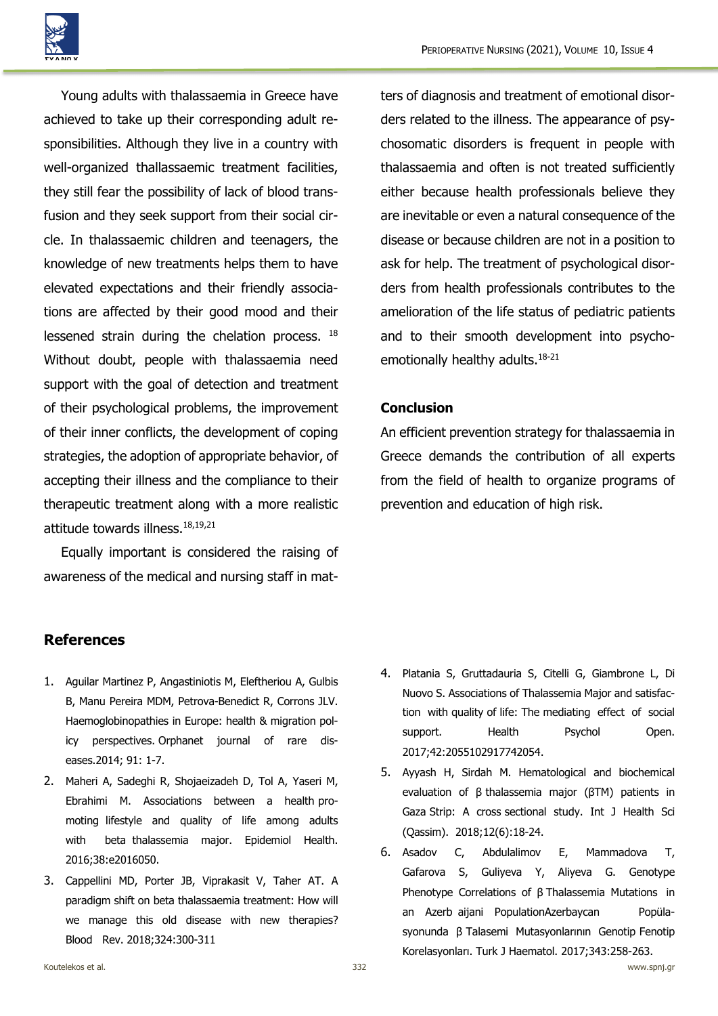

Young adults with thalassaemia in Greece have achieved to take up their corresponding adult responsibilities. Although they live in a country with well-organized thallassaemic treatment facilities, they still fear the possibility of lack of blood transfusion and they seek support from their social circle. In thalassaemic children and teenagers, the knowledge of new treatments helps them to have elevated expectations and their friendly associations are affected by their good mood and their lessened strain during the chelation process. <sup>18</sup> Without doubt, people with thalassaemia need support with the goal of detection and treatment of their psychological problems, the improvement of their inner conflicts, the development of coping strategies, the adoption of appropriate behavior, of accepting their illness and the compliance to their therapeutic treatment along with a more realistic attitude towards illness.18,19,21

Equally important is considered the raising of awareness of the medical and nursing staff in matters of diagnosis and treatment of emotional disorders related to the illness. The appearance of psychosomatic disorders is frequent in people with thalassaemia and often is not treated sufficiently either because health professionals believe they are inevitable or even a natural consequence of the disease or because children are not in a position to ask for help. The treatment of psychological disorders from health professionals contributes to the amelioration of the life status of pediatric patients and to their smooth development into psychoemotionally healthy adults.<sup>18-21</sup>

## **Conclusion**

An efficient prevention strategy for thalassaemia in Greece demands the contribution of all experts from the field of health to organize programs of prevention and education of high risk.

# **References**

- 1. Aguilar Martinez P, Angastiniotis M, Eleftheriou A, Gulbis B, Manu Pereira MDM, Petrova-Benedict R, Corrons JLV. Haemoglobinopathies in Europe: health & migration policy perspectives. Orphanet journal of rare diseases.2014; 91: 1-7.
- 2. Maheri A, Sadeghi R, Shojaeizadeh D, Tol A, Yaseri M, Ebrahimi M. Associations between a health promoting lifestyle and quality of life among adults with beta thalassemia major. Epidemiol Health. 2016;38:e2016050.
- 3. Cappellini MD, Porter JB, Viprakasit V, Taher AT. A paradigm shift on beta thalassaemia treatment: How will we manage this old disease with new therapies? Blood Rev. 2018;324:300-311
- 4. Platania S, Gruttadauria S, Citelli G, Giambrone L, Di Nuovo S. Associations of Thalassemia Major and satisfaction with quality of life: The mediating effect of social support. Health Psychol Open. 2017;42:2055102917742054.
- 5. Ayyash H, Sirdah M. Hematological and biochemical evaluation of β thalassemia major (βTM) patients in Gaza Strip: A cross sectional study. Int J Health Sci (Qassim). 2018;12(6):18-24.
- 6. Αsadov C, Abdulalimov E, Mammadova T, Gafarova S, Guliyeva Y, Aliyeva G. Genotype Phenotype Correlations of β Thalassemia Mutations in an Azerb aijani PopulationAzerbaycan Popülasyonunda β Talasemi Mutasyonlarının Genotip Fenotip Korelasyonları. Turk J Haematol. 2017;343:258-263.